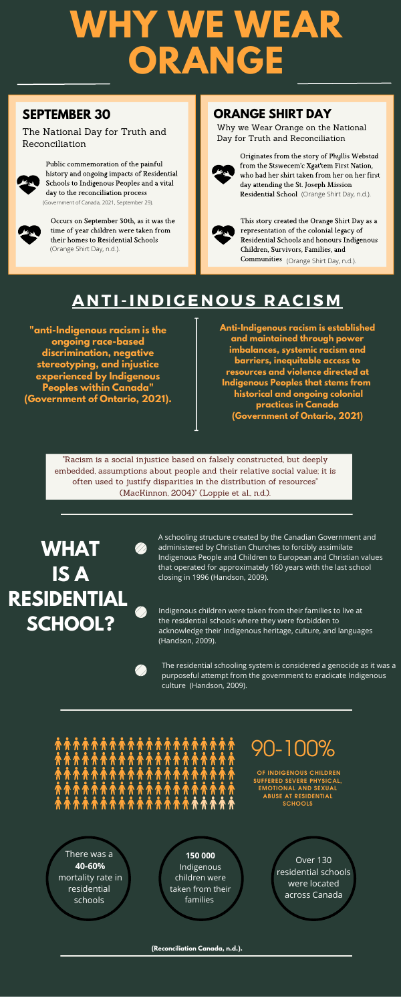## 90-100%

**OF INDIGENOUS CHILDREN SUFFERED SEVERE PHYSICAL, EMOTIONAL AND SEXUAL ABUSE AT RESIDENTIAL SCHOOLS**

# **WHY WE WEAR ORANGE**

### **SEPTEMBER 30**

The National Day for Truth and Reconciliation



### **ORANGE SHIRT DAY**

Why we Wear Orange on the National Day for Truth and Reconciliation



Originates from the story of Phyllis Webstad from the Stswecem'c Xgat'tem First Nation, who had her shirt taken from her on her first day attending the St. Joseph Mission Residential School (Orange Shirt Day, n.d.).



This story created the Orange Shirt Day as a representation of the colonial legacy of Residential Schools and honours Indigenous Children, Survivors, Families, and Communities (Orange Shirt Day, n.d.).

### **ANTI-INDIGENOUS RACISM**

**"anti-Indigenous racism is the ongoing race-based discrimination, negative stereotyping, and injustice experienced by Indigenous Peoples within Canada" (Government of Ontario, 2021).**

> "Racism is a social injustice based on falsely constructed, but deeply embedded, assumptions about people and their relative social value; it is often used to justify disparities in the distribution of resources" (MacKinnon, 2004)" (Loppie et al., n.d.).

**Anti-Indigenous racism is established and maintained through power imbalances, systemic racism and barriers, inequitable access to resources and violence directed at Indigenous Peoples that stems from historical and ongoing colonial practices in Canada (Government of Ontario, 2021)**

Public commemoration of the painful history and ongoing impacts of Residential Schools to Indigenous Peoples and a vital day to the reconciliation process (Government of Canada, 2021, September 29).



Occurs on September 30th, as it was the time of year children were taken from their homes to Residential Schools (Orange Shirt Day, n.d.).





# **SCHOOL?**

A schooling structure created by the Canadian Government and administered by Christian Churches to forcibly assimilate Indigenous People and Children to European and Christian values that operated for approximately 160 years with the last school closing in 1996 (Handson, 2009).

Indigenous children were taken from their families to live at the residential schools where they were forbidden to acknowledge their Indigenous heritage, culture, and languages (Handson, 2009).

The residential schooling system is considered a genocide as it was a purposeful attempt from the government to eradicate Indigenous culture (Handson, 2009).

There was a **40-60%** mortality rate in residential schools

**150 000** Indigenous children were taken from their families

Over 130 residential schools were located across Canada

**(Reconciliation Canada, n.d.).**